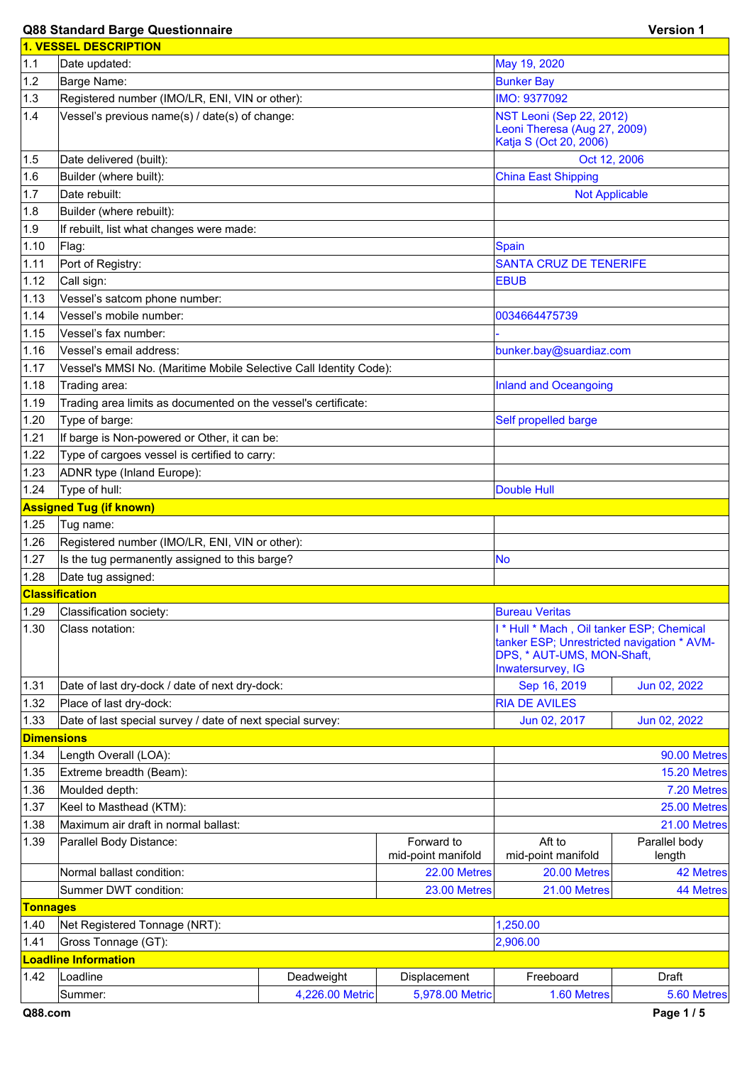## **Q88 Standard Barge Questionnaire Version 1**

|                   | <b>1. VESSEL DESCRIPTION</b>                                      |                    |                                  |                                                                   |                         |  |
|-------------------|-------------------------------------------------------------------|--------------------|----------------------------------|-------------------------------------------------------------------|-------------------------|--|
| 1.1               | Date updated:                                                     |                    |                                  | May 19, 2020                                                      |                         |  |
| 1.2               | Barge Name:                                                       |                    |                                  | <b>Bunker Bay</b>                                                 |                         |  |
| 1.3               | IMO: 9377092<br>Registered number (IMO/LR, ENI, VIN or other):    |                    |                                  |                                                                   |                         |  |
| 1.4               | Vessel's previous name(s) / date(s) of change:                    |                    |                                  | NST Leoni (Sep 22, 2012)                                          |                         |  |
|                   |                                                                   |                    |                                  | Leoni Theresa (Aug 27, 2009)                                      |                         |  |
|                   |                                                                   |                    |                                  | Katja S (Oct 20, 2006)                                            |                         |  |
| 1.5               | Date delivered (built):                                           |                    |                                  | Oct 12, 2006                                                      |                         |  |
| 1.6               | Builder (where built):                                            |                    |                                  | <b>China East Shipping</b>                                        |                         |  |
| 1.7               | Date rebuilt:                                                     |                    |                                  | <b>Not Applicable</b>                                             |                         |  |
| 1.8               | Builder (where rebuilt):                                          |                    |                                  |                                                                   |                         |  |
| 1.9               | If rebuilt, list what changes were made:                          |                    |                                  |                                                                   |                         |  |
| 1.10              | Flag:                                                             |                    |                                  | <b>Spain</b>                                                      |                         |  |
| 1.11              | Port of Registry:                                                 |                    |                                  | <b>SANTA CRUZ DE TENERIFE</b>                                     |                         |  |
| 1.12              | Call sign:                                                        |                    |                                  | <b>EBUB</b>                                                       |                         |  |
| 1.13              | Vessel's satcom phone number:                                     |                    |                                  |                                                                   |                         |  |
| 1.14              | Vessel's mobile number:                                           |                    |                                  | 0034664475739                                                     |                         |  |
| 1.15              | Vessel's fax number:                                              |                    |                                  |                                                                   |                         |  |
| 1.16              | Vessel's email address:                                           |                    |                                  | bunker.bay@suardiaz.com                                           |                         |  |
| 1.17              | Vessel's MMSI No. (Maritime Mobile Selective Call Identity Code): |                    |                                  |                                                                   |                         |  |
| 1.18              | Trading area:                                                     |                    |                                  | <b>Inland and Oceangoing</b>                                      |                         |  |
| 1.19              | Trading area limits as documented on the vessel's certificate:    |                    |                                  |                                                                   |                         |  |
| 1.20              | Type of barge:                                                    |                    |                                  | Self propelled barge                                              |                         |  |
| 1.21              | If barge is Non-powered or Other, it can be:                      |                    |                                  |                                                                   |                         |  |
| 1.22              | Type of cargoes vessel is certified to carry:                     |                    |                                  |                                                                   |                         |  |
| 1.23              | ADNR type (Inland Europe):                                        |                    |                                  |                                                                   |                         |  |
| 1.24              | Type of hull:                                                     | <b>Double Hull</b> |                                  |                                                                   |                         |  |
|                   | <b>Assigned Tug (if known)</b>                                    |                    |                                  |                                                                   |                         |  |
| 1.25              | Tug name:                                                         |                    |                                  |                                                                   |                         |  |
| 1.26              | Registered number (IMO/LR, ENI, VIN or other):                    |                    |                                  |                                                                   |                         |  |
| 1.27              | Is the tug permanently assigned to this barge?                    |                    |                                  | <b>No</b>                                                         |                         |  |
| 1.28              | Date tug assigned:                                                |                    |                                  |                                                                   |                         |  |
|                   | <b>Classification</b>                                             |                    |                                  |                                                                   |                         |  |
| 1.29              | Classification society:                                           |                    |                                  | <b>Bureau Veritas</b><br>I* Hull * Mach, Oil tanker ESP; Chemical |                         |  |
| 1.30              | Class notation:                                                   |                    |                                  | tanker ESP; Unrestricted navigation * AVM-                        |                         |  |
|                   |                                                                   |                    |                                  | DPS, * AUT-UMS, MON-Shaft,                                        |                         |  |
|                   |                                                                   |                    |                                  | Inwatersurvey, IG                                                 |                         |  |
| 1.31              | Date of last dry-dock / date of next dry-dock:                    |                    |                                  | Sep 16, 2019                                                      | Jun 02, 2022            |  |
| 1.32              | Place of last dry-dock:                                           |                    |                                  | <b>RIA DE AVILES</b>                                              |                         |  |
| 1.33              | Date of last special survey / date of next special survey:        |                    |                                  | Jun 02, 2017                                                      | Jun 02, 2022            |  |
| <b>Dimensions</b> |                                                                   |                    |                                  |                                                                   |                         |  |
| 1.34              | Length Overall (LOA):                                             |                    |                                  |                                                                   | 90.00 Metres            |  |
| 1.35              | Extreme breadth (Beam):                                           |                    |                                  |                                                                   | 15.20 Metres            |  |
| 1.36              | Moulded depth:                                                    |                    |                                  | 7.20 Metres                                                       |                         |  |
| 1.37              | Keel to Masthead (KTM):                                           |                    |                                  |                                                                   | 25.00 Metres            |  |
| 1.38              | Maximum air draft in normal ballast:                              |                    |                                  |                                                                   | 21.00 Metres            |  |
| 1.39              | Parallel Body Distance:                                           |                    | Forward to<br>mid-point manifold | Aft to<br>mid-point manifold                                      | Parallel body<br>length |  |
|                   | Normal ballast condition:                                         |                    | 22.00 Metres                     | 20.00 Metres                                                      | 42 Metres               |  |
|                   | Summer DWT condition:                                             |                    | 23.00 Metres                     | 21.00 Metres                                                      | <b>44 Metres</b>        |  |
| <b>Tonnages</b>   |                                                                   |                    |                                  |                                                                   |                         |  |
| 1.40              | Net Registered Tonnage (NRT):<br>1,250.00                         |                    |                                  |                                                                   |                         |  |
| 1.41              | Gross Tonnage (GT):                                               |                    |                                  | 2,906.00                                                          |                         |  |
|                   | <b>Loadline Information</b>                                       |                    |                                  |                                                                   |                         |  |
| 1.42              | Loadline                                                          | Deadweight         | Displacement                     | Freeboard                                                         | Draft                   |  |
|                   | Summer:                                                           | 4,226.00 Metric    | 5,978.00 Metric                  | 1.60 Metres                                                       | 5.60 Metres             |  |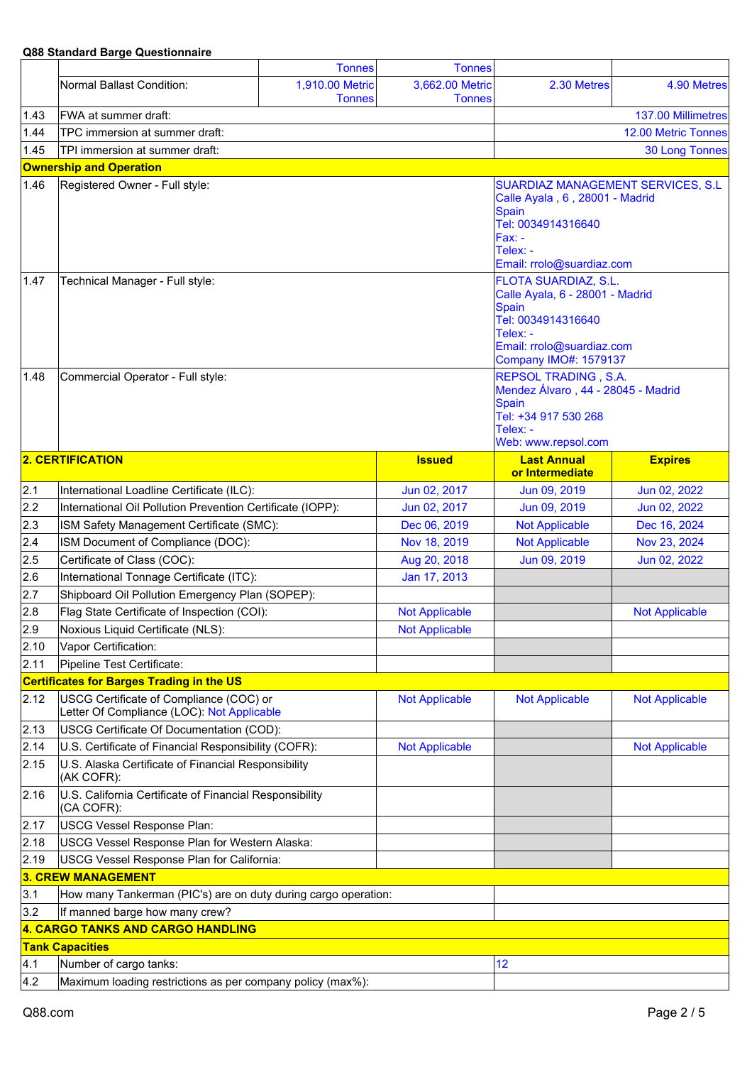|                                   | Qoo Əldildaru Darye Questionnalie                                                     |                                  |                                  |                                                                                                                                                                        |                       |
|-----------------------------------|---------------------------------------------------------------------------------------|----------------------------------|----------------------------------|------------------------------------------------------------------------------------------------------------------------------------------------------------------------|-----------------------|
|                                   |                                                                                       | <b>Tonnes</b>                    | <b>Tonnes</b>                    |                                                                                                                                                                        |                       |
|                                   | Normal Ballast Condition:                                                             | 1,910.00 Metric<br><b>Tonnes</b> | 3,662.00 Metric<br><b>Tonnes</b> | 2.30 Metres                                                                                                                                                            | 4.90 Metres           |
| 1.43                              | FWA at summer draft:                                                                  |                                  |                                  |                                                                                                                                                                        | 137.00 Millimetres    |
| 1.44                              | TPC immersion at summer draft:                                                        |                                  |                                  |                                                                                                                                                                        | 12.00 Metric Tonnes   |
| 1.45                              | TPI immersion at summer draft:                                                        |                                  |                                  |                                                                                                                                                                        | <b>30 Long Tonnes</b> |
|                                   | <b>Ownership and Operation</b>                                                        |                                  |                                  |                                                                                                                                                                        |                       |
| 1.46                              | Registered Owner - Full style:                                                        |                                  |                                  | SUARDIAZ MANAGEMENT SERVICES, S.L.<br>Calle Ayala, 6, 28001 - Madrid<br><b>Spain</b><br>Tel: 0034914316640<br>$Fax: -$<br>Telex: -<br>Email: rrolo@suardiaz.com        |                       |
| 1.47                              | Technical Manager - Full style:                                                       |                                  |                                  | <b>FLOTA SUARDIAZ, S.L.</b><br>Calle Ayala, 6 - 28001 - Madrid<br>Spain<br>Tel: 0034914316640<br>Telex: -<br>Email: rrolo@suardiaz.com<br><b>Company IMO#: 1579137</b> |                       |
| 1.48                              | Commercial Operator - Full style:                                                     |                                  |                                  | REPSOL TRADING, S.A.<br>Mendez Álvaro, 44 - 28045 - Madrid<br>Spain<br>Tel: +34 917 530 268<br>Telex: -<br>Web: www.repsol.com                                         |                       |
|                                   | <b>2. CERTIFICATION</b>                                                               |                                  | <b>Issued</b>                    | <b>Last Annual</b><br>or Intermediate                                                                                                                                  | <b>Expires</b>        |
| 2.1                               | International Loadline Certificate (ILC):                                             |                                  | Jun 02, 2017                     | Jun 09, 2019                                                                                                                                                           | Jun 02, 2022          |
| 2.2                               | International Oil Pollution Prevention Certificate (IOPP):                            |                                  | Jun 02, 2017                     | Jun 09, 2019                                                                                                                                                           | Jun 02, 2022          |
| 2.3                               | ISM Safety Management Certificate (SMC):                                              |                                  | Dec 06, 2019                     | <b>Not Applicable</b>                                                                                                                                                  | Dec 16, 2024          |
| 2.4                               | ISM Document of Compliance (DOC):                                                     |                                  | Nov 18, 2019                     | <b>Not Applicable</b>                                                                                                                                                  | Nov 23, 2024          |
| 2.5                               | Certificate of Class (COC):                                                           |                                  | Aug 20, 2018                     | Jun 09, 2019                                                                                                                                                           | Jun 02, 2022          |
| 2.6                               | International Tonnage Certificate (ITC):                                              |                                  | Jan 17, 2013                     |                                                                                                                                                                        |                       |
| 2.7                               | Shipboard Oil Pollution Emergency Plan (SOPEP):                                       |                                  |                                  |                                                                                                                                                                        |                       |
| 2.8                               | Flag State Certificate of Inspection (COI):                                           |                                  | <b>Not Applicable</b>            |                                                                                                                                                                        | <b>Not Applicable</b> |
| 2.9                               | Noxious Liquid Certificate (NLS):                                                     |                                  | <b>Not Applicable</b>            |                                                                                                                                                                        |                       |
| 2.10                              | Vapor Certification:                                                                  |                                  |                                  |                                                                                                                                                                        |                       |
| 2.11                              | Pipeline Test Certificate:                                                            |                                  |                                  |                                                                                                                                                                        |                       |
|                                   | <b>Certificates for Barges Trading in the US</b>                                      |                                  |                                  |                                                                                                                                                                        |                       |
| 2.12                              | USCG Certificate of Compliance (COC) or<br>Letter Of Compliance (LOC): Not Applicable |                                  | <b>Not Applicable</b>            | <b>Not Applicable</b>                                                                                                                                                  | <b>Not Applicable</b> |
| 2.13                              | USCG Certificate Of Documentation (COD):                                              |                                  |                                  |                                                                                                                                                                        |                       |
| 2.14                              | U.S. Certificate of Financial Responsibility (COFR):                                  |                                  | <b>Not Applicable</b>            |                                                                                                                                                                        | <b>Not Applicable</b> |
| 2.15                              | U.S. Alaska Certificate of Financial Responsibility<br>(AK COFR):                     |                                  |                                  |                                                                                                                                                                        |                       |
| 2.16                              | U.S. California Certificate of Financial Responsibility<br>(CA COFR):                 |                                  |                                  |                                                                                                                                                                        |                       |
| 2.17                              | <b>USCG Vessel Response Plan:</b>                                                     |                                  |                                  |                                                                                                                                                                        |                       |
| 2.18                              | USCG Vessel Response Plan for Western Alaska:                                         |                                  |                                  |                                                                                                                                                                        |                       |
| 2.19                              | USCG Vessel Response Plan for California:                                             |                                  |                                  |                                                                                                                                                                        |                       |
|                                   | 3. CREW MANAGEMENT                                                                    |                                  |                                  |                                                                                                                                                                        |                       |
| 3.1                               | How many Tankerman (PIC's) are on duty during cargo operation:                        |                                  |                                  |                                                                                                                                                                        |                       |
| 3.2                               | If manned barge how many crew?                                                        |                                  |                                  |                                                                                                                                                                        |                       |
| 4. CARGO TANKS AND CARGO HANDLING |                                                                                       |                                  |                                  |                                                                                                                                                                        |                       |
|                                   | <b>Tank Capacities</b>                                                                |                                  |                                  |                                                                                                                                                                        |                       |
| 4.1                               | Number of cargo tanks:                                                                |                                  |                                  | 12                                                                                                                                                                     |                       |
| 4.2                               | Maximum loading restrictions as per company policy (max%):                            |                                  |                                  |                                                                                                                                                                        |                       |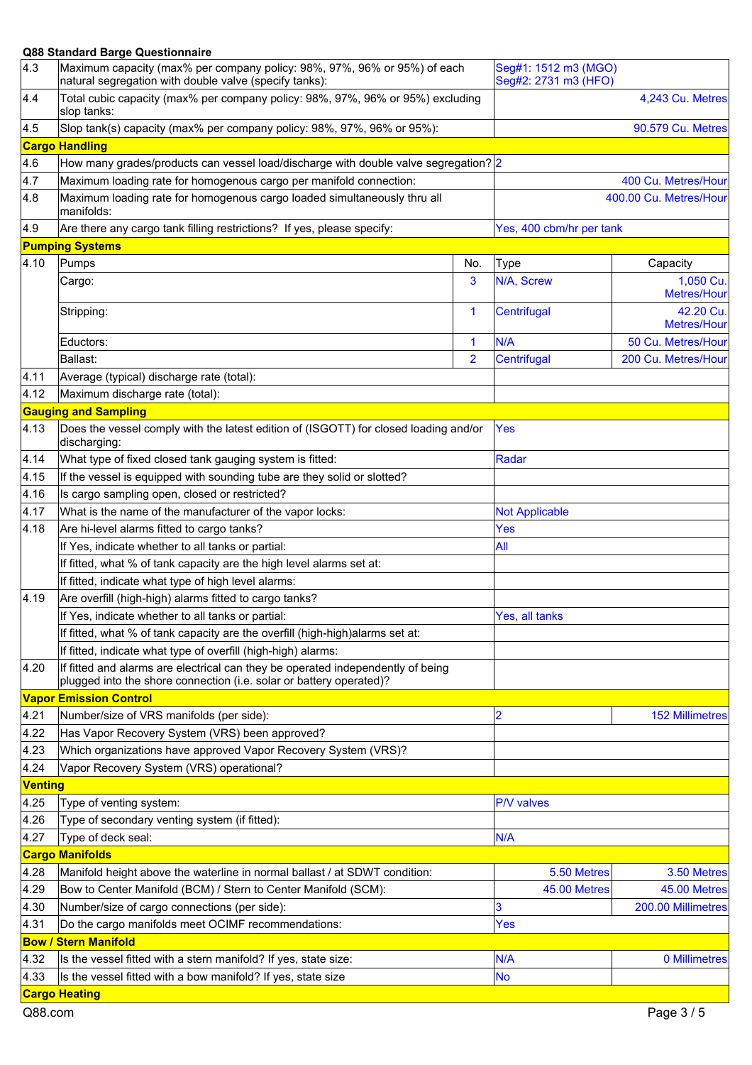| 4.3                         | Maximum capacity (max% per company policy: 98%, 97%, 96% or 95%) of each<br>natural segregation with double valve (specify tanks):               |                       | Seg#1: 1512 m3 (MGO)<br>Seg#2: 2731 m3 (HFO) |                          |
|-----------------------------|--------------------------------------------------------------------------------------------------------------------------------------------------|-----------------------|----------------------------------------------|--------------------------|
| 4.4                         | Total cubic capacity (max% per company policy: 98%, 97%, 96% or 95%) excluding<br>slop tanks:                                                    |                       | 4,243 Cu. Metres                             |                          |
| 4.5                         | Slop tank(s) capacity (max% per company policy: 98%, 97%, 96% or 95%):                                                                           |                       |                                              | 90.579 Cu. Metres        |
|                             | <b>Cargo Handling</b>                                                                                                                            |                       |                                              |                          |
| 4.6                         | How many grades/products can vessel load/discharge with double valve segregation? 2                                                              |                       |                                              |                          |
| 4.7                         | Maximum loading rate for homogenous cargo per manifold connection:                                                                               |                       | 400 Cu. Metres/Hour                          |                          |
| 4.8                         | Maximum loading rate for homogenous cargo loaded simultaneously thru all<br>manifolds:                                                           |                       | 400.00 Cu. Metres/Hour                       |                          |
| 4.9                         | Are there any cargo tank filling restrictions? If yes, please specify:                                                                           |                       | Yes, 400 cbm/hr per tank                     |                          |
|                             | <b>Pumping Systems</b>                                                                                                                           |                       |                                              |                          |
| 4.10                        | Pumps                                                                                                                                            | No.                   | <b>Type</b>                                  | Capacity                 |
|                             | Cargo:                                                                                                                                           | 3                     | N/A, Screw                                   | 1,050 Cu.<br>Metres/Hour |
|                             | Stripping:                                                                                                                                       | 1                     | Centrifugal                                  | 42.20 Cu.<br>Metres/Hour |
|                             | Eductors:                                                                                                                                        | 1                     | N/A                                          | 50 Cu. Metres/Hour       |
|                             | Ballast:                                                                                                                                         | $\overline{2}$        | Centrifugal                                  | 200 Cu. Metres/Hour      |
| 4.11                        | Average (typical) discharge rate (total):                                                                                                        |                       |                                              |                          |
| 4.12                        | Maximum discharge rate (total):                                                                                                                  |                       |                                              |                          |
|                             | <b>Gauging and Sampling</b>                                                                                                                      |                       |                                              |                          |
| 4.13                        | Does the vessel comply with the latest edition of (ISGOTT) for closed loading and/or<br>discharging:                                             |                       | <b>Yes</b>                                   |                          |
| 4.14                        | What type of fixed closed tank gauging system is fitted:                                                                                         |                       | Radar                                        |                          |
| 4.15                        | If the vessel is equipped with sounding tube are they solid or slotted?                                                                          |                       |                                              |                          |
| 4.16                        | Is cargo sampling open, closed or restricted?                                                                                                    |                       |                                              |                          |
| 4.17                        | What is the name of the manufacturer of the vapor locks:                                                                                         | <b>Not Applicable</b> |                                              |                          |
| 4.18                        | Are hi-level alarms fitted to cargo tanks?                                                                                                       |                       | Yes                                          |                          |
|                             | If Yes, indicate whether to all tanks or partial:                                                                                                |                       | All                                          |                          |
|                             | If fitted, what % of tank capacity are the high level alarms set at:                                                                             |                       |                                              |                          |
|                             | If fitted, indicate what type of high level alarms:                                                                                              |                       |                                              |                          |
| 4.19                        | Are overfill (high-high) alarms fitted to cargo tanks?                                                                                           |                       |                                              |                          |
|                             | If Yes, indicate whether to all tanks or partial:                                                                                                |                       | Yes, all tanks                               |                          |
|                             | If fitted, what % of tank capacity are the overfill (high-high)alarms set at:                                                                    |                       |                                              |                          |
|                             |                                                                                                                                                  |                       |                                              |                          |
| 4.20                        | If fitted, indicate what type of overfill (high-high) alarms:<br>If fitted and alarms are electrical can they be operated independently of being |                       |                                              |                          |
|                             | plugged into the shore connection (i.e. solar or battery operated)?                                                                              |                       |                                              |                          |
|                             | <b>Vapor Emission Control</b>                                                                                                                    |                       |                                              |                          |
| 4.21                        | Number/size of VRS manifolds (per side):                                                                                                         |                       | 2                                            | <b>152 Millimetres</b>   |
| 4.22                        | Has Vapor Recovery System (VRS) been approved?                                                                                                   |                       |                                              |                          |
| 4.23                        | Which organizations have approved Vapor Recovery System (VRS)?                                                                                   |                       |                                              |                          |
| 4.24                        | Vapor Recovery System (VRS) operational?                                                                                                         |                       |                                              |                          |
| <b>Venting</b>              |                                                                                                                                                  |                       |                                              |                          |
| 4.25                        | Type of venting system:                                                                                                                          |                       | P/V valves                                   |                          |
| 4.26                        | Type of secondary venting system (if fitted):                                                                                                    |                       |                                              |                          |
| 4.27                        | Type of deck seal:                                                                                                                               |                       | N/A                                          |                          |
|                             | <b>Cargo Manifolds</b>                                                                                                                           |                       |                                              |                          |
| 4.28                        | Manifold height above the waterline in normal ballast / at SDWT condition:                                                                       |                       | 5.50 Metres                                  | 3.50 Metres              |
| 4.29                        | Bow to Center Manifold (BCM) / Stern to Center Manifold (SCM):                                                                                   |                       | 45.00 Metres                                 | 45.00 Metres             |
| 4.30                        | Number/size of cargo connections (per side):                                                                                                     |                       | 3                                            | 200.00 Millimetres       |
| 4.31                        | Do the cargo manifolds meet OCIMF recommendations:<br>Yes                                                                                        |                       |                                              |                          |
| <b>Bow / Stern Manifold</b> |                                                                                                                                                  |                       |                                              |                          |
| 4.32                        | Is the vessel fitted with a stern manifold? If yes, state size:                                                                                  |                       | N/A                                          | 0 Millimetres            |
| 4.33                        | Is the vessel fitted with a bow manifold? If yes, state size                                                                                     |                       | No                                           |                          |
|                             | <b>Cargo Heating</b>                                                                                                                             |                       |                                              |                          |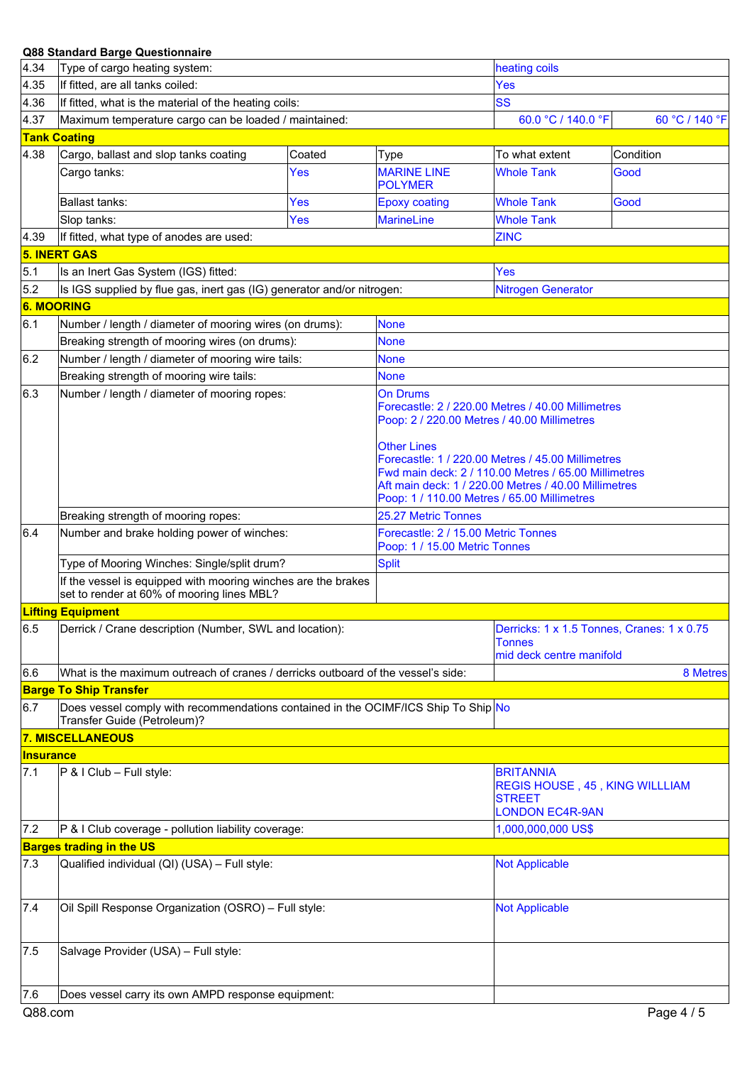| 4.34             | Type of cargo heating system:                                                                                     |        |                                                                                                                                                                                                                                 | heating coils                                                                                 |                |  |
|------------------|-------------------------------------------------------------------------------------------------------------------|--------|---------------------------------------------------------------------------------------------------------------------------------------------------------------------------------------------------------------------------------|-----------------------------------------------------------------------------------------------|----------------|--|
| 4.35             | If fitted, are all tanks coiled:                                                                                  |        |                                                                                                                                                                                                                                 | Yes                                                                                           |                |  |
| 4.36             | If fitted, what is the material of the heating coils:                                                             |        |                                                                                                                                                                                                                                 | SS                                                                                            |                |  |
| 4.37             | Maximum temperature cargo can be loaded / maintained:                                                             |        |                                                                                                                                                                                                                                 | 60.0 °C / 140.0 °F                                                                            | 60 °C / 140 °F |  |
|                  | <b>Tank Coating</b>                                                                                               |        |                                                                                                                                                                                                                                 |                                                                                               |                |  |
| 4.38             | Cargo, ballast and slop tanks coating                                                                             | Coated | Type                                                                                                                                                                                                                            | To what extent                                                                                | Condition      |  |
|                  | Cargo tanks:                                                                                                      | Yes    | <b>MARINE LINE</b><br><b>POLYMER</b>                                                                                                                                                                                            | <b>Whole Tank</b>                                                                             | Good           |  |
|                  | <b>Ballast tanks:</b>                                                                                             | Yes    | <b>Epoxy coating</b>                                                                                                                                                                                                            | <b>Whole Tank</b>                                                                             | Good           |  |
|                  | Slop tanks:                                                                                                       | Yes    | <b>MarineLine</b>                                                                                                                                                                                                               | <b>Whole Tank</b>                                                                             |                |  |
| 4.39             | If fitted, what type of anodes are used:                                                                          |        |                                                                                                                                                                                                                                 | <b>ZINC</b>                                                                                   |                |  |
|                  | <b>5. INERT GAS</b>                                                                                               |        |                                                                                                                                                                                                                                 |                                                                                               |                |  |
| 5.1              | Is an Inert Gas System (IGS) fitted:                                                                              |        |                                                                                                                                                                                                                                 | Yes                                                                                           |                |  |
| 5.2              | Is IGS supplied by flue gas, inert gas (IG) generator and/or nitrogen:                                            |        |                                                                                                                                                                                                                                 | <b>Nitrogen Generator</b>                                                                     |                |  |
|                  | <b>6. MOORING</b>                                                                                                 |        |                                                                                                                                                                                                                                 |                                                                                               |                |  |
| 6.1              | Number / length / diameter of mooring wires (on drums):                                                           |        | <b>None</b>                                                                                                                                                                                                                     |                                                                                               |                |  |
|                  | Breaking strength of mooring wires (on drums):<br><b>None</b>                                                     |        |                                                                                                                                                                                                                                 |                                                                                               |                |  |
| 6.2              | Number / length / diameter of mooring wire tails:                                                                 |        | <b>None</b>                                                                                                                                                                                                                     |                                                                                               |                |  |
|                  | Breaking strength of mooring wire tails:                                                                          |        | None                                                                                                                                                                                                                            |                                                                                               |                |  |
| 6.3              | Number / length / diameter of mooring ropes:                                                                      |        | On Drums<br>Forecastle: 2 / 220.00 Metres / 40.00 Millimetres<br>Poop: 2 / 220.00 Metres / 40.00 Millimetres                                                                                                                    |                                                                                               |                |  |
|                  |                                                                                                                   |        | Other Lines<br>Forecastle: 1 / 220.00 Metres / 45.00 Millimetres<br>Fwd main deck: 2 / 110.00 Metres / 65.00 Millimetres<br>Aft main deck: 1 / 220.00 Metres / 40.00 Millimetres<br>Poop: 1 / 110.00 Metres / 65.00 Millimetres |                                                                                               |                |  |
|                  | Breaking strength of mooring ropes:                                                                               |        | 25.27 Metric Tonnes                                                                                                                                                                                                             |                                                                                               |                |  |
| 6.4              | Number and brake holding power of winches:                                                                        |        | Forecastle: 2 / 15.00 Metric Tonnes<br>Poop: 1 / 15.00 Metric Tonnes                                                                                                                                                            |                                                                                               |                |  |
|                  | Type of Mooring Winches: Single/split drum?                                                                       |        | <b>Split</b>                                                                                                                                                                                                                    |                                                                                               |                |  |
|                  | If the vessel is equipped with mooring winches are the brakes<br>set to render at 60% of mooring lines MBL?       |        |                                                                                                                                                                                                                                 |                                                                                               |                |  |
|                  | <b>Lifting Equipment</b>                                                                                          |        |                                                                                                                                                                                                                                 |                                                                                               |                |  |
| 6.5              | Derrick / Crane description (Number, SWL and location):                                                           |        |                                                                                                                                                                                                                                 | Derricks: 1 x 1.5 Tonnes, Cranes: 1 x 0.75<br>Tonnes<br>mid deck centre manifold              |                |  |
| 6.6              | What is the maximum outreach of cranes / derricks outboard of the vessel's side:                                  |        |                                                                                                                                                                                                                                 | 8 Metres                                                                                      |                |  |
|                  | <b>Barge To Ship Transfer</b>                                                                                     |        |                                                                                                                                                                                                                                 |                                                                                               |                |  |
| 6.7              | Does vessel comply with recommendations contained in the OCIMF/ICS Ship To Ship No<br>Transfer Guide (Petroleum)? |        |                                                                                                                                                                                                                                 |                                                                                               |                |  |
|                  | <b>7. MISCELLANEOUS</b>                                                                                           |        |                                                                                                                                                                                                                                 |                                                                                               |                |  |
| <b>Insurance</b> |                                                                                                                   |        |                                                                                                                                                                                                                                 |                                                                                               |                |  |
| 7.1              | $ P \& I Club - Full style:$                                                                                      |        |                                                                                                                                                                                                                                 | <b>BRITANNIA</b><br>REGIS HOUSE, 45, KING WILLLIAM<br><b>STREET</b><br><b>LONDON EC4R-9AN</b> |                |  |
| 7.2              | P & I Club coverage - pollution liability coverage:                                                               |        |                                                                                                                                                                                                                                 | 1,000,000,000 US\$                                                                            |                |  |
|                  | <b>Barges trading in the US</b>                                                                                   |        |                                                                                                                                                                                                                                 |                                                                                               |                |  |
| 7.3              | Qualified individual (QI) (USA) - Full style:                                                                     |        |                                                                                                                                                                                                                                 | <b>Not Applicable</b>                                                                         |                |  |
| 7.4              | Oil Spill Response Organization (OSRO) - Full style:                                                              |        |                                                                                                                                                                                                                                 | <b>Not Applicable</b>                                                                         |                |  |
| 7.5              | Salvage Provider (USA) - Full style:                                                                              |        |                                                                                                                                                                                                                                 |                                                                                               |                |  |
| 7.6              | Does vessel carry its own AMPD response equipment:                                                                |        |                                                                                                                                                                                                                                 |                                                                                               |                |  |